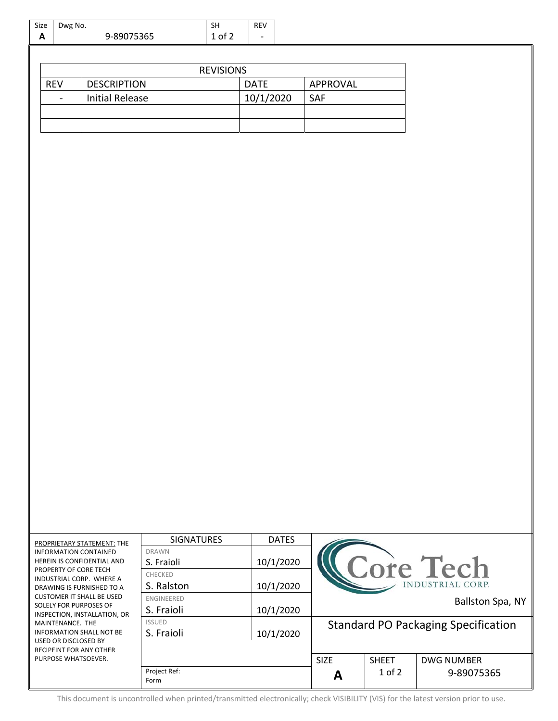| Dwg No.<br>Size<br>A<br>9-89075365                                           |                                  |                                                               | SH<br>1 of 2             | REV |             |              |             |                                            |                                     |  |  |
|------------------------------------------------------------------------------|----------------------------------|---------------------------------------------------------------|--------------------------|-----|-------------|--------------|-------------|--------------------------------------------|-------------------------------------|--|--|
|                                                                              |                                  |                                                               |                          |     |             |              |             |                                            |                                     |  |  |
|                                                                              |                                  |                                                               |                          |     |             |              |             |                                            |                                     |  |  |
| <b>REVISIONS</b>                                                             |                                  |                                                               |                          |     |             |              |             |                                            |                                     |  |  |
|                                                                              | <b>REV</b><br><b>DESCRIPTION</b> |                                                               |                          |     | <b>DATE</b> |              |             | APPROVAL                                   |                                     |  |  |
|                                                                              | $\overline{\phantom{a}}$         | <b>Initial Release</b>                                        |                          |     | 10/1/2020   |              | SAF         |                                            |                                     |  |  |
|                                                                              |                                  |                                                               |                          |     |             |              |             |                                            |                                     |  |  |
|                                                                              |                                  |                                                               |                          |     |             |              |             |                                            |                                     |  |  |
|                                                                              |                                  |                                                               |                          |     |             |              |             |                                            |                                     |  |  |
|                                                                              |                                  |                                                               |                          |     |             |              |             |                                            |                                     |  |  |
|                                                                              |                                  |                                                               |                          |     |             |              |             |                                            |                                     |  |  |
|                                                                              |                                  |                                                               |                          |     |             |              |             |                                            |                                     |  |  |
|                                                                              |                                  |                                                               |                          |     |             |              |             |                                            |                                     |  |  |
|                                                                              |                                  |                                                               |                          |     |             |              |             |                                            |                                     |  |  |
|                                                                              |                                  |                                                               |                          |     |             |              |             |                                            |                                     |  |  |
|                                                                              |                                  |                                                               |                          |     |             |              |             |                                            |                                     |  |  |
|                                                                              |                                  |                                                               |                          |     |             |              |             |                                            |                                     |  |  |
|                                                                              |                                  |                                                               |                          |     |             |              |             |                                            |                                     |  |  |
|                                                                              |                                  |                                                               |                          |     |             |              |             |                                            |                                     |  |  |
|                                                                              |                                  |                                                               |                          |     |             |              |             |                                            |                                     |  |  |
|                                                                              |                                  |                                                               |                          |     |             |              |             |                                            |                                     |  |  |
|                                                                              |                                  |                                                               |                          |     |             |              |             |                                            |                                     |  |  |
|                                                                              |                                  |                                                               |                          |     |             |              |             |                                            |                                     |  |  |
|                                                                              |                                  |                                                               |                          |     |             |              |             |                                            |                                     |  |  |
|                                                                              |                                  |                                                               |                          |     |             |              |             |                                            |                                     |  |  |
|                                                                              |                                  |                                                               |                          |     |             |              |             |                                            |                                     |  |  |
|                                                                              |                                  |                                                               |                          |     |             |              |             |                                            |                                     |  |  |
|                                                                              |                                  |                                                               |                          |     |             |              |             |                                            |                                     |  |  |
|                                                                              |                                  |                                                               |                          |     |             |              |             |                                            |                                     |  |  |
|                                                                              |                                  |                                                               |                          |     |             |              |             |                                            |                                     |  |  |
|                                                                              |                                  |                                                               |                          |     |             |              |             |                                            |                                     |  |  |
|                                                                              |                                  |                                                               |                          |     |             |              |             |                                            |                                     |  |  |
|                                                                              |                                  |                                                               |                          |     |             |              |             |                                            |                                     |  |  |
|                                                                              |                                  |                                                               |                          |     |             |              |             |                                            |                                     |  |  |
|                                                                              |                                  |                                                               |                          |     |             |              |             |                                            |                                     |  |  |
|                                                                              |                                  |                                                               |                          |     |             |              |             |                                            |                                     |  |  |
|                                                                              |                                  |                                                               |                          |     |             |              |             |                                            |                                     |  |  |
|                                                                              |                                  | PROPRIETARY STATEMENT: THE                                    | <b>SIGNATURES</b>        |     |             | <b>DATES</b> |             |                                            |                                     |  |  |
|                                                                              |                                  | <b>INFORMATION CONTAINED</b>                                  | <b>DRAWN</b>             |     |             |              |             |                                            |                                     |  |  |
|                                                                              | PROPERTY OF CORE TECH            | HEREIN IS CONFIDENTIAL AND                                    | S. Fraioli               |     |             | 10/1/2020    |             |                                            |                                     |  |  |
|                                                                              |                                  | INDUSTRIAL CORP. WHERE A                                      | CHECKED                  |     |             |              |             |                                            | Core Tech<br><b>NDUSTRIAL CORP.</b> |  |  |
|                                                                              |                                  | DRAWING IS FURNISHED TO A<br><b>CUSTOMER IT SHALL BE USED</b> | S. Ralston               |     |             | 10/1/2020    |             |                                            |                                     |  |  |
|                                                                              |                                  | SOLELY FOR PURPOSES OF                                        | ENGINEERED<br>S. Fraioli |     |             | 10/1/2020    |             |                                            | Ballston Spa, NY                    |  |  |
| INSPECTION, INSTALLATION, OR<br>MAINTENANCE. THE<br>INFORMATION SHALL NOT BE |                                  |                                                               | <b>ISSUED</b>            |     |             |              |             | <b>Standard PO Packaging Specification</b> |                                     |  |  |
|                                                                              |                                  |                                                               | S. Fraioli               |     |             | 10/1/2020    |             |                                            |                                     |  |  |
| USED OR DISCLOSED BY<br>RECIPEINT FOR ANY OTHER                              |                                  |                                                               |                          |     |             |              |             |                                            |                                     |  |  |
|                                                                              | PURPOSE WHATSOEVER.              |                                                               |                          |     |             |              | <b>SIZE</b> | <b>SHEET</b>                               | <b>DWG NUMBER</b>                   |  |  |
|                                                                              |                                  |                                                               | Project Ref:             |     |             |              | A           | $1$ of $2$                                 | 9-89075365                          |  |  |
|                                                                              |                                  |                                                               | Form                     |     |             |              |             |                                            |                                     |  |  |

 $\overline{\phantom{a}}$